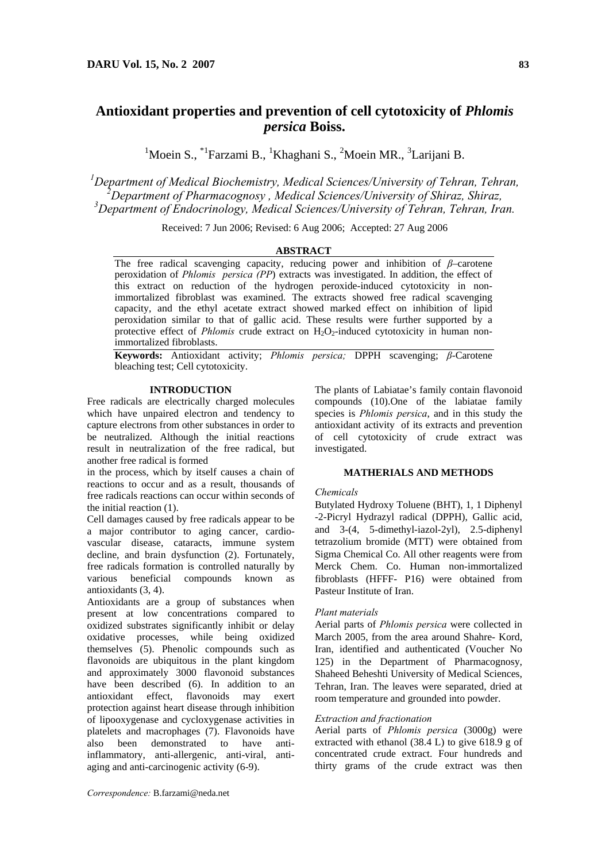# **Antioxidant properties and prevention of cell cytotoxicity of** *Phlomis persica* **Boiss.**

<sup>1</sup>Moein S., <sup>\*1</sup>Farzami B., <sup>1</sup>Khaghani S., <sup>2</sup>Moein MR., <sup>3</sup>Larijani B.

<sup>1</sup><br> *Department of Medical Biochemistry, Medical Sciences/University of Tehran, Tehran,*<br>
<sup>2</sup> Department of Pharmaeognesy, Medical Sciences/University of Shing- Shing-*Department of Pharmacognosy , Medical Sciences/University of Shiraz, Shiraz, 3 Department of Endocrinology, Medical Sciences/University of Tehran, Tehran, Iran.* 

Received: 7 Jun 2006; Revised: 6 Aug 2006; Accepted: 27 Aug 2006

## **ABSTRACT**

The free radical scavenging capacity, reducing power and inhibition of *β*–carotene peroxidation of *Phlomis persica (PP*) extracts was investigated. In addition, the effect of this extract on reduction of the hydrogen peroxide-induced cytotoxicity in nonimmortalized fibroblast was examined. The extracts showed free radical scavenging capacity, and the ethyl acetate extract showed marked effect on inhibition of lipid peroxidation similar to that of gallic acid. These results were further supported by a protective effect of *Phlomis* crude extract on H<sub>2</sub>O<sub>2</sub>-induced cytotoxicity in human nonimmortalized fibroblasts.

**Keywords:** Antioxidant activity; *Phlomis persica;* DPPH scavenging; *β*-Carotene bleaching test; Cell cytotoxicity.

## **INTRODUCTION**

Free radicals are electrically charged molecules which have unpaired electron and tendency to capture electrons from other substances in order to be neutralized. Although the initial reactions result in neutralization of the free radical, but another free radical is formed

in the process, which by itself causes a chain of reactions to occur and as a result, thousands of free radicals reactions can occur within seconds of the initial reaction (1).

Cell damages caused by free radicals appear to be a major contributor to aging cancer, cardiovascular disease, cataracts, immune system decline, and brain dysfunction (2). Fortunately, free radicals formation is controlled naturally by various beneficial compounds known as antioxidants (3, 4).

Antioxidants are a group of substances when present at low concentrations compared to oxidized substrates significantly inhibit or delay oxidative processes, while being oxidized themselves (5). Phenolic compounds such as flavonoids are ubiquitous in the plant kingdom and approximately 3000 flavonoid substances have been described (6). In addition to an antioxidant effect, flavonoids may exert protection against heart disease through inhibition of lipooxygenase and cycloxygenase activities in platelets and macrophages (7). Flavonoids have also been demonstrated to have antiinflammatory, anti-allergenic, anti-viral, antiaging and anti-carcinogenic activity (6-9).

The plants of Labiatae's family contain flavonoid compounds (10).One of the labiatae family species is *Phlomis persica*, and in this study the antioxidant activity of its extracts and prevention of cell cytotoxicity of crude extract was investigated.

## **MATHERIALS AND METHODS**

### *Chemicals*

Butylated Hydroxy Toluene (BHT), 1, 1 Diphenyl -2-Picryl Hydrazyl radical (DPPH), Gallic acid, and 3-(4, 5-dimethyl-iazol-2yl), 2.5-diphenyl tetrazolium bromide (MTT) were obtained from Sigma Chemical Co. All other reagents were from Merck Chem. Co. Human non-immortalized fibroblasts (HFFF- P16) were obtained from Pasteur Institute of Iran.

#### *Plant materials*

Aerial parts of *Phlomis persica* were collected in March 2005, from the area around Shahre- Kord, Iran, identified and authenticated (Voucher No 125) in the Department of Pharmacognosy, Shaheed Beheshti University of Medical Sciences, Tehran, Iran. The leaves were separated, dried at room temperature and grounded into powder.

## *Extraction and fractionation*

Aerial parts of *Phlomis persica* (3000g) were extracted with ethanol (38.4 L) to give 618.9 g of concentrated crude extract. Four hundreds and thirty grams of the crude extract was then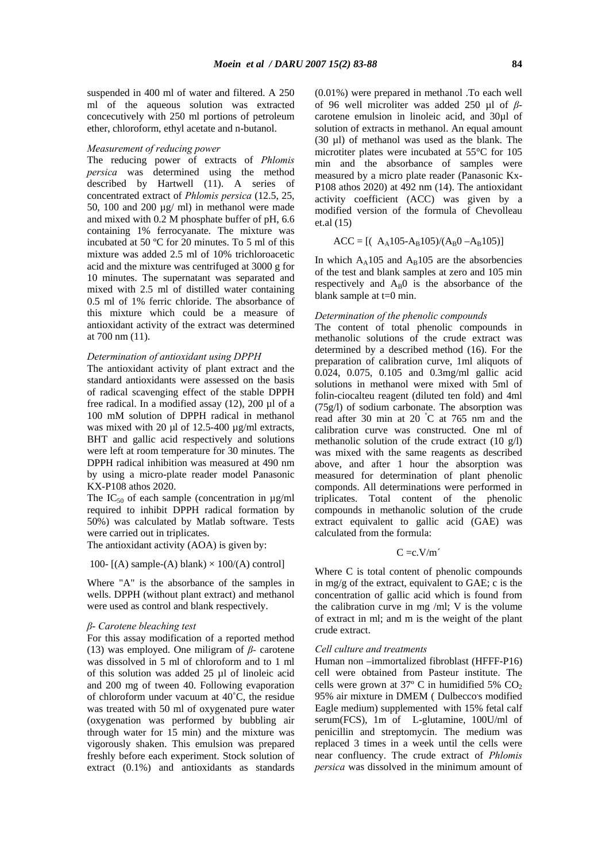suspended in 400 ml of water and filtered. A 250 ml of the aqueous solution was extracted concecutively with 250 ml portions of petroleum ether, chloroform, ethyl acetate and n-butanol.

#### *Measurement of reducing power*

The reducing power of extracts of *Phlomis persica* was determined using the method described by Hartwell (11). A series of concentrated extract of *Phlomis persica* (12.5, 25, 50, 100 and 200 µg/ ml) in methanol were made and mixed with 0.2 M phosphate buffer of pH, 6.6 containing 1% ferrocyanate. The mixture was incubated at 50 ºC for 20 minutes. To 5 ml of this mixture was added 2.5 ml of 10% trichloroacetic acid and the mixture was centrifuged at 3000 g for 10 minutes. The supernatant was separated and mixed with 2.5 ml of distilled water containing 0.5 ml of 1% ferric chloride. The absorbance of this mixture which could be a measure of antioxidant activity of the extract was determined at 700 nm (11).

### *Determination of antioxidant using DPPH*

The antioxidant activity of plant extract and the standard antioxidants were assessed on the basis of radical scavenging effect of the stable DPPH free radical. In a modified assay (12), 200 µl of a 100 mM solution of DPPH radical in methanol was mixed with 20  $\mu$ l of 12.5-400  $\mu$ g/ml extracts, BHT and gallic acid respectively and solutions were left at room temperature for 30 minutes. The DPPH radical inhibition was measured at 490 nm by using a micro-plate reader model Panasonic KX-P108 athos 2020.

The  $IC_{50}$  of each sample (concentration in  $\mu$ g/ml required to inhibit DPPH radical formation by 50%) was calculated by Matlab software. Tests were carried out in triplicates.

The antioxidant activity (AOA) is given by:

## 100-  $[(A)$  sample- $(A)$  blank)  $\times$  100/ $(A)$  control]

Where "A" is the absorbance of the samples in wells. DPPH (without plant extract) and methanol were used as control and blank respectively.

## *β*- *Carotene bleaching test*

For this assay modification of a reported method (13) was employed. One miligram of *β-* carotene was dissolved in 5 ml of chloroform and to 1 ml of this solution was added 25 µl of linoleic acid and 200 mg of tween 40. Following evaporation of chloroform under vacuum at 40˚C, the residue was treated with 50 ml of oxygenated pure water (oxygenation was performed by bubbling air through water for 15 min) and the mixture was vigorously shaken. This emulsion was prepared freshly before each experiment. Stock solution of extract (0.1%) and antioxidants as standards

(0.01%) were prepared in methanol .To each well of 96 well microliter was added 250 µl of *β*carotene emulsion in linoleic acid, and 30µl of solution of extracts in methanol. An equal amount (30 µl) of methanol was used as the blank. The microtiter plates were incubated at 55°C for 105 min and the absorbance of samples were measured by a micro plate reader (Panasonic Kx-P108 athos 2020) at 492 nm (14). The antioxidant activity coefficient (ACC) was given by a modified version of the formula of Chevolleau et.al (15)

$$
ACC = [(AA105-AB105)/(AB0-AB105)]
$$

In which  $A_A$ 105 and  $A_B$ 105 are the absorbencies of the test and blank samples at zero and 105 min respectively and  $A_B0$  is the absorbance of the blank sample at t=0 min.

#### *Determination of the phenolic compounds*

The content of total phenolic compounds in methanolic solutions of the crude extract was determined by a described method (16). For the preparation of calibration curve, 1ml aliquots of 0.024, 0.075, 0.105 and 0.3mg/ml gallic acid solutions in methanol were mixed with 5ml of folin-ciocalteu reagent (diluted ten fold) and 4ml (75g/l) of sodium carbonate. The absorption was read after 30 min at 20 <sup>º</sup> C at 765 nm and the calibration curve was constructed. One ml of methanolic solution of the crude extract (10 g/l) was mixed with the same reagents as described above, and after 1 hour the absorption was measured for determination of plant phenolic componds. All determinations were performed in triplicates. Total content of the phenolic compounds in methanolic solution of the crude extract equivalent to gallic acid (GAE) was calculated from the formula:

$$
C =\!\!c.V\!/\!m'
$$

Where C is total content of phenolic compounds in  $me/e$  of the extract, equivalent to GAE; c is the concentration of gallic acid which is found from the calibration curve in mg /ml; V is the volume of extract in ml; and m is the weight of the plant crude extract.

#### *Cell culture and treatments*

Human non –immortalized fibroblast (HFFF-P16) cell were obtained from Pasteur institute. The cells were grown at  $37^{\circ}$  C in humidified 5% CO<sub>2</sub> 95% air mixture in DMEM (Dulbecco's modified Eagle medium) supplemented with 15% fetal calf serum(FCS), 1m of L-glutamine, 100U/ml of penicillin and streptomycin. The medium was replaced 3 times in a week until the cells were near confluency. The crude extract of *Phlomis persica* was dissolved in the minimum amount of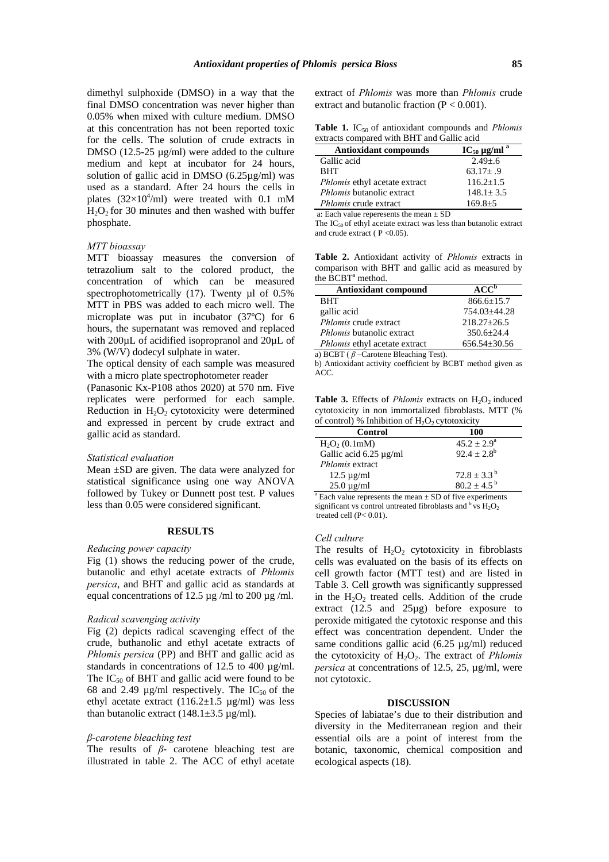dimethyl sulphoxide (DMSO) in a way that the final DMSO concentration was never higher than 0.05% when mixed with culture medium. DMSO at this concentration has not been reported toxic for the cells. The solution of crude extracts in DMSO (12.5-25 µg/ml) were added to the culture medium and kept at incubator for 24 hours, solution of gallic acid in DMSO (6.25µg/ml) was used as a standard. After 24 hours the cells in plates  $(32\times10^4/\text{ml})$  were treated with 0.1 mM  $H<sub>2</sub>O<sub>2</sub>$  for 30 minutes and then washed with buffer phosphate.

### *MTT bioassay*

MTT bioassay measures the conversion of tetrazolium salt to the colored product, the concentration of which can be measured spectrophotometrically (17). Twenty µl of 0.5% MTT in PBS was added to each micro well. The microplate was put in incubator (37ºC) for 6 hours, the supernatant was removed and replaced with 200µL of acidified isopropranol and 20µL of 3% (W/V) dodecyl sulphate in water.

The optical density of each sample was measured with a micro plate spectrophotometer reader

(Panasonic Kx-P108 athos 2020) at 570 nm. Five replicates were performed for each sample. Reduction in  $H_2O_2$  cytotoxicity were determined and expressed in percent by crude extract and gallic acid as standard.

#### *Statistical evaluation*

Mean ±SD are given. The data were analyzed for statistical significance using one way ANOVA followed by Tukey or Dunnett post test. P values less than 0.05 were considered significant.

#### **RESULTS**

#### *Reducing power capacity*

Fig (1) shows the reducing power of the crude, butanolic and ethyl acetate extracts of *Phlomis persica*, and BHT and gallic acid as standards at equal concentrations of 12.5  $\mu$ g /ml to 200  $\mu$ g /ml.

#### *Radical scavenging activity*

Fig (2) depicts radical scavenging effect of the crude, buthanolic and ethyl acetate extracts of *Phlomis persica* (PP) and BHT and gallic acid as standards in concentrations of 12.5 to 400 µg/ml. The  $IC_{50}$  of BHT and gallic acid were found to be 68 and 2.49  $\mu$ g/ml respectively. The IC<sub>50</sub> of the ethyl acetate extract  $(116.2 \pm 1.5 \text{ µg/ml})$  was less than butanolic extract  $(148.1 \pm 3.5 \,\mu g/ml)$ .

## *β-carotene bleaching test*

The results of *β*- carotene bleaching test are illustrated in table 2. The ACC of ethyl acetate

extract of *Phlomis* was more than *Phlomis* crude extract and butanolic fraction  $(P < 0.001)$ .

| <b>Table 1.</b> IC <sub>50</sub> of antioxidant compounds and <i>Phlomis</i> |  |
|------------------------------------------------------------------------------|--|
| extracts compared with BHT and Gallic acid                                   |  |

| Antioxidant compounds                | $IC_{50}$ µg/ml <sup>a</sup> |
|--------------------------------------|------------------------------|
| Gallic acid                          | $2.49 + 6$                   |
| <b>RHT</b>                           | $63.17 + .9$                 |
| <i>Phlomis</i> ethyl acetate extract | $116.2 + 1.5$                |
| <i>Phlomis</i> butanolic extract     | $148.1 + 3.5$                |
| Phlomis crude extract                | $169.8 + 5$                  |

a: Each value reperesents the mean ± SD

The IC50 of ethyl acetate extract was less than butanolic extract and crude extract ( $P < 0.05$ ).

**Table 2.** Antioxidant activity of *Phlomis* extracts in comparison with BHT and gallic acid as measured by the  $\overline{BCBT}^a$  method.

| <b>Antioxidant compound</b>      | ACC <sup>b</sup>   |
|----------------------------------|--------------------|
| <b>BHT</b>                       | $866.6 \pm 15.7$   |
| gallic acid                      | 754.03+44.28       |
| Phlomis crude extract            | $218.27 + 26.5$    |
| <i>Phlomis</i> butanolic extract | $350.6 + 24.4$     |
| Phlomis ethyl acetate extract    | $656.54 \pm 30.56$ |

a) BCBT ( *β* –Carotene Bleaching Test).

b) Antioxidant activity coefficient by BCBT method given as ACC.

**Table 3.** Effects of *Phlomis* extracts on H<sub>2</sub>O<sub>2</sub> induced cytotoxicity in non immortalized fibroblasts. MTT (% of control) % Inhibition of  $H_2O_2$  cytotoxicity

| Control                      | 100                    |
|------------------------------|------------------------|
| $H_2O_2(0.1mM)$              | $45.2 \pm 2.9^{\circ}$ |
| Gallic acid $6.25 \mu g/ml$  | $92.4 \pm 2.8^b$       |
| <i>Phlomis</i> extract       |                        |
| $12.5 \mu g/ml$              | $72.8 + 3.3^{b}$       |
| $25.0 \,\mathrm{\upmu g/ml}$ | $80.2 \pm 4.5^{b}$     |

 $a^a$  Each value represents the mean  $\pm$  SD of five experiments significant vs control untreated fibroblasts and  $\rm{^b}$  vs  $\rm{H_2O_2}$ treated cell (P< 0.01).

#### *Cell culture*

The results of  $H_2O_2$  cytotoxicity in fibroblasts cells was evaluated on the basis of its effects on cell growth factor (MTT test) and are listed in Table 3. Cell growth was significantly suppressed in the  $H_2O_2$  treated cells. Addition of the crude extract (12.5 and 25µg) before exposure to peroxide mitigated the cytotoxic response and this effect was concentration dependent. Under the same conditions gallic acid  $(6.25 \text{ µg/ml})$  reduced the cytotoxicity of  $H_2O_2$ . The extract of *Phlomis persica* at concentrations of 12.5, 25,  $\mu$ g/ml, were not cytotoxic.

## **DISCUSSION**

Species of labiatae's due to their distribution and diversity in the Mediterranean region and their essential oils are a point of interest from the botanic, taxonomic, chemical composition and ecological aspects (18).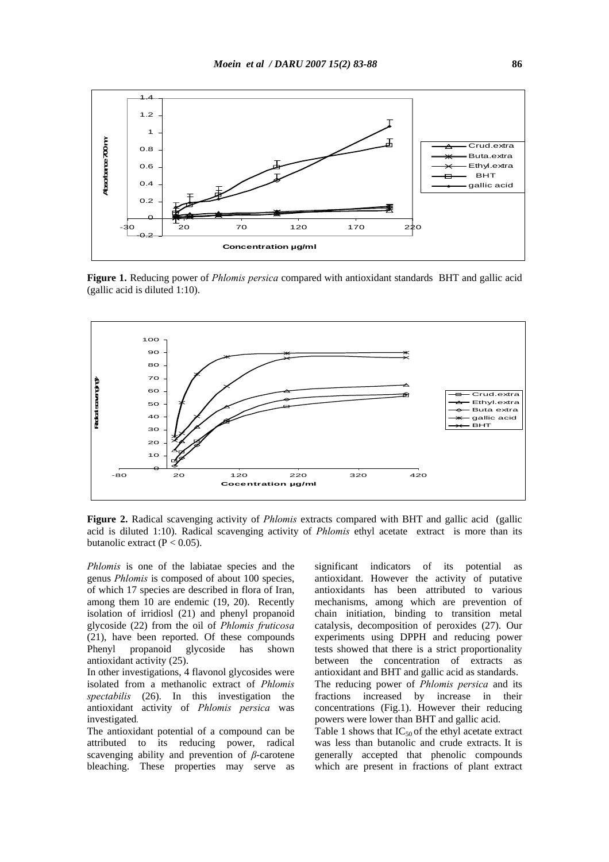

**Figure 1.** Reducing power of *Phlomis persica* compared with antioxidant standards BHT and gallic acid (gallic acid is diluted 1:10).



**Figure 2.** Radical scavenging activity of *Phlomis* extracts compared with BHT and gallic acid (gallic acid is diluted 1:10). Radical scavenging activity of *Phlomis* ethyl acetate extract is more than its butanolic extract  $(P < 0.05)$ .

*Phlomis* is one of the labiatae species and the genus *Phlomis* is composed of about 100 species, of which 17 species are described in flora of Iran, among them 10 are endemic (19, 20). Recently isolation of irridiosl (21) and phenyl propanoid glycoside (22) from the oil of *Phlomis fruticosa*  (21), have been reported. Of these compounds Phenyl propanoid glycoside has shown antioxidant activity (25).

In other investigations, 4 flavonol glycosides were isolated from a methanolic extract of *Phlomis spectabilis* (26). In this investigation the antioxidant activity of *Phlomis persica* was investigated*.*

The antioxidant potential of a compound can be attributed to its reducing power, radical scavenging ability and prevention of *β*-carotene bleaching. These properties may serve as significant indicators of its potential as antioxidant. However the activity of putative antioxidants has been attributed to various mechanisms, among which are prevention of chain initiation, binding to transition metal catalysis, decomposition of peroxides (27). Our experiments using DPPH and reducing power tests showed that there is a strict proportionality between the concentration of extracts as antioxidant and BHT and gallic acid as standards. The reducing power of *Phlomis persica* and its fractions increased by increase in their concentrations (Fig.1). However their reducing powers were lower than BHT and gallic acid. Table 1 shows that  $IC_{50}$  of the ethyl acetate extract

was less than butanolic and crude extracts. It is generally accepted that phenolic compounds which are present in fractions of plant extract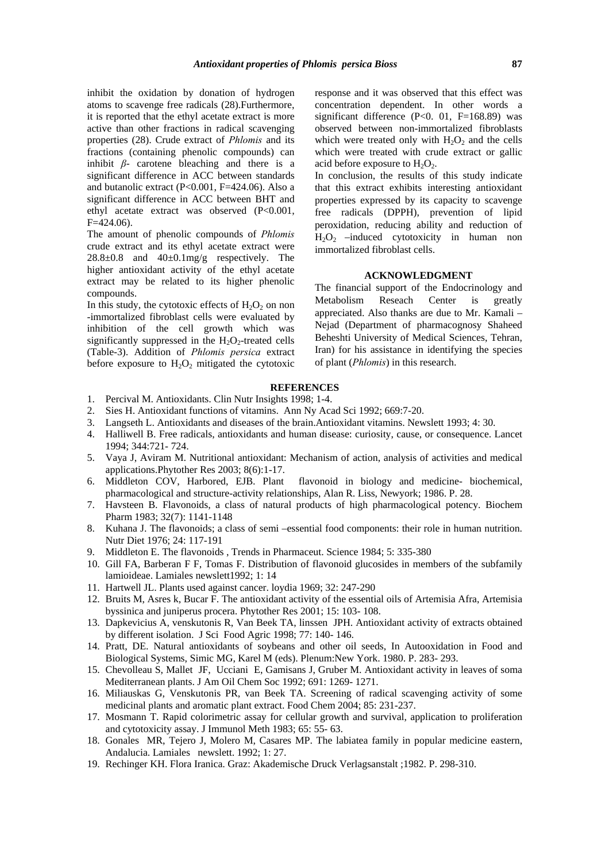inhibit the oxidation by donation of hydrogen atoms to scavenge free radicals (28).Furthermore, it is reported that the ethyl acetate extract is more active than other fractions in radical scavenging properties (28). Crude extract of *Phlomis* and its fractions (containing phenolic compounds) can inhibit *β*- carotene bleaching and there is a significant difference in ACC between standards and butanolic extract (P<0.001, F=424.06). Also a significant difference in ACC between BHT and ethyl acetate extract was observed (P<0.001,  $F=424.06$ ).

The amount of phenolic compounds of *Phlomis*  crude extract and its ethyl acetate extract were  $28.8\pm0.8$  and  $40\pm0.1$  mg/g respectively. The higher antioxidant activity of the ethyl acetate extract may be related to its higher phenolic compounds.

In this study, the cytotoxic effects of  $H_2O_2$  on non -immortalized fibroblast cells were evaluated by inhibition of the cell growth which was significantly suppressed in the  $H_2O_2$ -treated cells (Table-3). Addition of *Phlomis persica* extract before exposure to  $H_2O_2$  mitigated the cytotoxic

response and it was observed that this effect was concentration dependent. In other words a significant difference  $(P<0. 01, F=168.89)$  was observed between non-immortalized fibroblasts which were treated only with  $H_2O_2$  and the cells which were treated with crude extract or gallic acid before exposure to  $H_2O_2$ .

In conclusion, the results of this study indicate that this extract exhibits interesting antioxidant properties expressed by its capacity to scavenge free radicals (DPPH), prevention of lipid peroxidation, reducing ability and reduction of  $H<sub>2</sub>O<sub>2</sub>$  –induced cytotoxicity in human non immortalized fibroblast cells.

## **ACKNOWLEDGMENT**

The financial support of the Endocrinology and Metabolism Reseach Center is greatly appreciated. Also thanks are due to Mr. Kamali – Nejad (Department of pharmacognosy Shaheed Beheshti University of Medical Sciences, Tehran, Iran) for his assistance in identifying the species of plant (*Phlomis*) in this research.

## **REFERENCES**

- 1. Percival M. Antioxidants. Clin Nutr Insights 1998; 1-4.
- 2. Sies H. Antioxidant functions of vitamins. Ann Ny Acad Sci 1992; 669:7-20.
- 3. Langseth L. Antioxidants and diseases of the brain.Antioxidant vitamins. Newslett 1993; 4: 30.
- 4. Halliwell B. Free radicals, antioxidants and human disease: curiosity, cause, or consequence. Lancet 1994; 344:721- 724.
- 5. Vaya J, Aviram M. Nutritional antioxidant: Mechanism of action, analysis of activities and medical applications.Phytother Res 2003; 8(6):1-17.
- 6. Middleton COV, Harbored, EJB. Plant flavonoid in biology and medicine- biochemical, pharmacological and structure-activity relationships, Alan R. Liss, Newyork; 1986. P. 28.
- 7. Havsteen B. Flavonoids, a class of natural products of high pharmacological potency. Biochem Pharm 1983; 32(7): 1141-1148
- 8. Kuhana J. The flavonoids; a class of semi –essential food components: their role in human nutrition. Nutr Diet 1976; 24: 117-191
- 9. Middleton E. The flavonoids , Trends in Pharmaceut. Science 1984; 5: 335-380
- 10. Gill FA, Barberan F F, Tomas F. Distribution of flavonoid glucosides in members of the subfamily lamioideae. Lamiales newslett1992; 1: 14
- 11. Hartwell JL. Plants used against cancer. loydia 1969; 32: 247-290
- 12. Bruits M, Asres k, Bucar F. The antioxidant activity of the essential oils of Artemisia Afra, Artemisia byssinica and juniperus procera. Phytother Res 2001; 15: 103- 108.
- 13. Dapkevicius A, venskutonis R, Van Beek TA, linssen JPH. Antioxidant activity of extracts obtained by different isolation. J Sci Food Agric 1998; 77: 140- 146.
- 14. Pratt, DE. Natural antioxidants of soybeans and other oil seeds, In Autooxidation in Food and Biological Systems, Simic MG, Karel M (eds). Plenum:New York. 1980. P. 283- 293.
- 15. Chevolleau S, Mallet JF, Ucciani E, Gamisans J, Gruber M. Antioxidant activity in leaves of soma Mediterranean plants. J Am Oil Chem Soc 1992; 691: 1269- 1271.
- 16. Miliauskas G, Venskutonis PR, van Beek TA. Screening of radical scavenging activity of some medicinal plants and aromatic plant extract. Food Chem 2004; 85: 231-237.
- 17. Mosmann T. Rapid colorimetric assay for cellular growth and survival, application to proliferation and cytotoxicity assay. J Immunol Meth 1983; 65: 55- 63.
- 18. Gonales MR, Tejero J, Molero M, Casares MP. The labiatea family in popular medicine eastern, Andalucia. Lamiales newslett. 1992; 1: 27.
- 19. Rechinger KH. Flora Iranica. Graz: Akademische Druck Verlagsanstalt ;1982. P. 298-310.